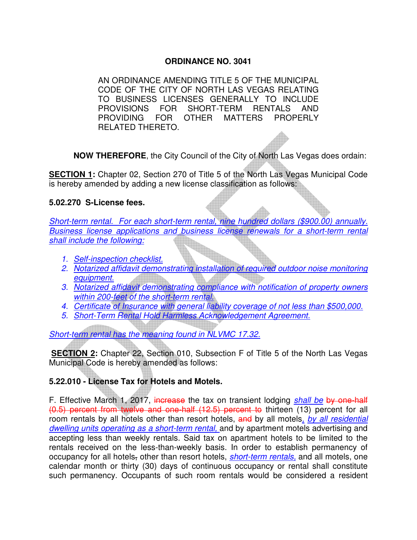## **ORDINANCE NO. 3041**

AN ORDINANCE AMENDING TITLE 5 OF THE MUNICIPAL CODE OF THE CITY OF NORTH LAS VEGAS RELATING TO BUSINESS LICENSES GENERALLY TO INCLUDE PROVISIONS FOR SHORT-TERM RENTALS AND PROVIDING FOR OTHER MATTERS PROPERLY RELATED THERETO.

**NOW THEREFORE**, the City Council of the City of North Las Vegas does ordain:

**SECTION 1:** Chapter 02, Section 270 of Title 5 of the North Las Vegas Municipal Code is hereby amended by adding a new license classification as follows:

## **5.02.270 S-License fees.**

*Short-term rental. For each short-term rental, nine hundred dollars (\$900.00) annually. Business license applications and business license renewals for a short-term rental shall include the following:*

- *1. Self-inspection checklist.*
- *2. Notarized affidavit demonstrating installation of required outdoor noise monitoring equipment.*
- *3. Notarized affidavit demonstrating compliance with notification of property owners within 200-feet of the short-term rental.*
- *4. Certificate of Insurance with general liability coverage of not less than \$500,000.*
- *5. Short-Term Rental Hold Harmless Acknowledgement Agreement.*

*Short-term rental has the meaning found in NLVMC 17.32.*

**SECTION 2:** Chapter 22, Section 010, Subsection F of Title 5 of the North Las Vegas Municipal Code is hereby amended as follows:

## **5.22.010 - License Tax for Hotels and Motels.**

F. Effective March 1, 2017, increase the tax on transient lodging *shall be* by one-half (0.5) percent from twelve and one-half (12.5) percent to thirteen (13) percent for all room rentals by all hotels other than resort hotels, and by all motels*, by all residential dwelling units operating as a short-term rental,* and by apartment motels advertising and accepting less than weekly rentals. Said tax on apartment hotels to be limited to the rentals received on the less-than-weekly basis. In order to establish permanency of occupancy for all hotels, other than resort hotels, *short-term rentals,* and all motels, one calendar month or thirty (30) days of continuous occupancy or rental shall constitute such permanency. Occupants of such room rentals would be considered a resident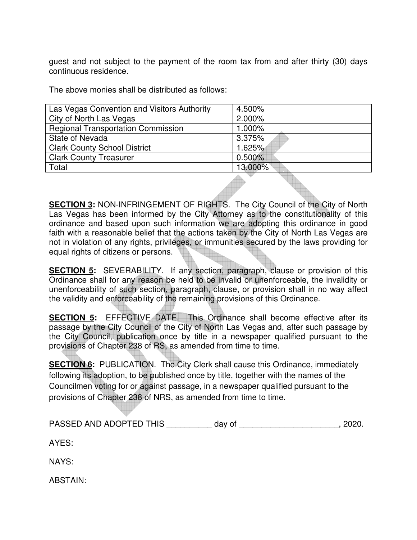guest and not subject to the payment of the room tax from and after thirty (30) days continuous residence.

The above monies shall be distributed as follows:

| Las Vegas Convention and Visitors Authority | 4.500%    |
|---------------------------------------------|-----------|
| City of North Las Vegas                     | 2.000%    |
| <b>Regional Transportation Commission</b>   | 1.000%    |
| State of Nevada                             | 3.375%    |
| <b>Clark County School District</b>         | 1.625%    |
| <b>Clark County Treasurer</b>               | $0.500\%$ |
| Total                                       | 13.000%   |
|                                             |           |

**SECTION 3:** NON-INFRINGEMENT OF RIGHTS. The City Council of the City of North Las Vegas has been informed by the City Attorney as to the constitutionality of this ordinance and based upon such information we are adopting this ordinance in good faith with a reasonable belief that the actions taken by the City of North Las Vegas are not in violation of any rights, privileges, or immunities secured by the laws providing for equal rights of citizens or persons.

**SECTION 5:** SEVERABILITY. If any section, paragraph, clause or provision of this Ordinance shall for any reason be held to be invalid or unenforceable, the invalidity or unenforceability of such section, paragraph, clause, or provision shall in no way affect the validity and enforceability of the remaining provisions of this Ordinance.

**SECTION 5:** EFFECTIVE DATE. This Ordinance shall become effective after its passage by the City Council of the City of North Las Vegas and, after such passage by the City Council, publication once by title in a newspaper qualified pursuant to the provisions of Chapter 238 of RS, as amended from time to time.

**SECTION 6:** PUBLICATION. The City Clerk shall cause this Ordinance, immediately following its adoption, to be published once by title, together with the names of the Councilmen voting for or against passage, in a newspaper qualified pursuant to the provisions of Chapter 238 of NRS, as amended from time to time.

PASSED AND ADOPTED THIS day of  $\qquad \qquad$  , 2020.

AYES:

NAYS:

ABSTAIN: